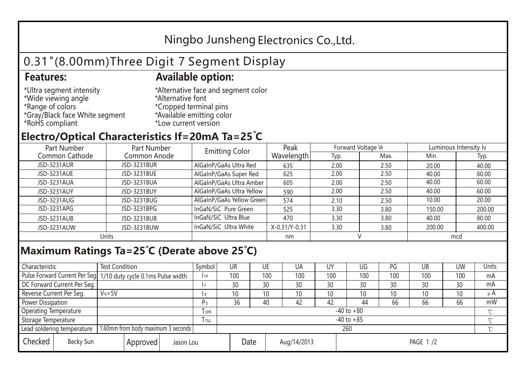## Ningbo Junsheng Electronics Co.,Ltd.

# 0.31"(8.00mm)Three Digit 7 Segment Display

#### **Features: Available option:**

- \*Ultra segment intensity \*Wide viewing angle \*Range of colors \*Gray/Black face White segment \*RoHS compliant
- \*Alternative face and segment color \*Alternative font \*Cropped terminal pins \*Available emitting color \*Low current version

### **Electro/Optical Characteristics If=20mA Ta=25 C**

| Part Number<br>Part Number |              | <b>Emitting Color</b>     | Peak          | Forward Voltage VF |      | Luminous Intensity lv |        |  |
|----------------------------|--------------|---------------------------|---------------|--------------------|------|-----------------------|--------|--|
| Common Cathode             | Common Anode |                           | Wavelength    | Typ.               | Max. | Min.                  | Typ.   |  |
| JSD-3231AUR                | JSD-3231BUR  | AlGaInP/GaAs Ultra Red    | 635           | 2.00               | 2.50 | 20.00                 | 40.00  |  |
| JSD-3231AUE                | JSD-3231BUE  | AlGaInP/GaAs Super Red    | 625           | 2.00               | 2.50 | 40.00                 | 80.00  |  |
| JSD-3231AUA                | JSD-3231BUA  | AlGaInP/GaAs Ultra Amber  | 605           | 2.00               | 2.50 | 40.00                 | 60.00  |  |
| JSD-3231AUY                | JSD-3231BUY  | AlGaInP/GaAs Ultra Yellow | 590           | 2.00               | 2.50 | 40.00                 | 60.00  |  |
| JSD-3231AUG                | JSD-3231BUG  | AlGaInP/GaAs Yellow Green | 574           | 2.10               | 2.50 | 10.00                 | 20.00  |  |
| JSD-3231APG                | JSD-3231BPG  | InGaN/SiC Pure Green      | 525           | 3.30               | 3.80 | 150.00                | 200.00 |  |
| JSD-3231AUB                | JSD-3231BUB  | InGaN/SiC Ultra Blue      | 470           | 3.30               | 3.80 | 40.00                 | 80.00  |  |
| JSD-3231AUW                | JSD-3231BUW  | InGaN/SiC Ultra White     | X-0.31/Y-0.31 | 3.30               | 3.80 | 200.00                | 400.00 |  |
| Units                      |              |                           | nm            |                    |      | mcd                   |        |  |

### **Maximum Ratings Ta=25°C (Derate above 25°C)**

| Characteristic                                |  | <b>Test Condition</b>                                           |                         |                | Symbol | <b>UR</b>   |          | UE  | UA              | UY  | UG  | PG  | UB       | <b>UW</b> | <b>Units</b> |
|-----------------------------------------------|--|-----------------------------------------------------------------|-------------------------|----------------|--------|-------------|----------|-----|-----------------|-----|-----|-----|----------|-----------|--------------|
|                                               |  | Pulse Forward Current Per Seg 1/10 duty cycle 0.1ms Pulse width |                         |                | I FP   | 100         |          | 100 | 100             | 100 | 100 | 100 | 100      | 100       | mA           |
| DC Forward Current Per Seg.                   |  |                                                                 |                         |                |        | 30          |          | 30  | 30              | 30  | 30  | 30  | 30       | 30        | mA           |
| Reverse Current Per Seg.                      |  | $V_R = 5V$                                                      |                         |                | l R    | 10          |          | 10  | 10 <sup>°</sup> | 10  | 10  | 10  | 10       | 10        | $\mu$ A      |
| <b>Power Dissipation</b>                      |  |                                                                 |                         |                | РD     | 36          |          | 40  | 42              | 42  | 44  | 66  | 66       | 66        | mW           |
| <b>Operating Temperature</b>                  |  |                                                                 | <b>TOPR</b>             | $-40$ to $+80$ |        |             |          |     |                 |     |     |     | $\gamma$ |           |              |
| Storage Temperature                           |  |                                                                 | <b>T</b> <sub>rsg</sub> | $-40$ to $+85$ |        |             |          |     |                 |     |     |     | °C       |           |              |
| Lead soldering temperature                    |  | 1.60mm from body maximum 3 seconds                              |                         |                |        | 260<br>≧    |          |     |                 |     |     |     |          |           |              |
| Checked<br>Becky Sun<br>Approved<br>Jason Lou |  |                                                                 | Date                    |                |        | Aug/14/2013 | PAGE 1/2 |     |                 |     |     |     |          |           |              |